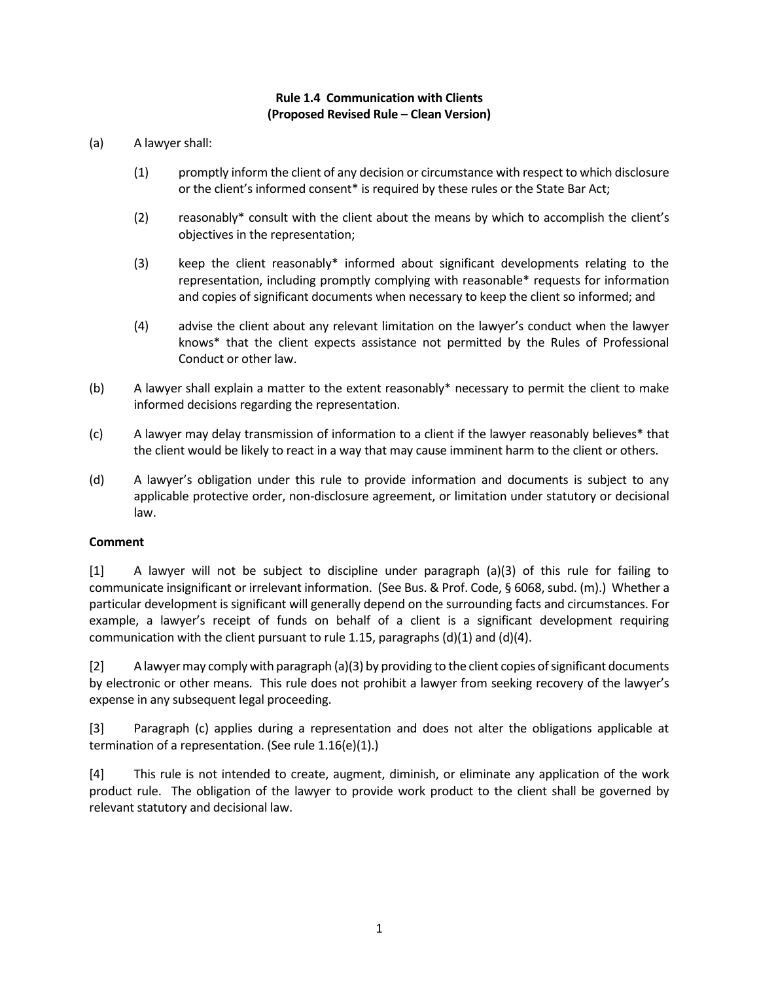## **Rule 1.4 Communication with Clients (Proposed Revised Rule – Clean Version)**

- $(a)$ A lawyer shall:
	- $(1)$  or the client's informed consent\* is required by these rules or the State Bar Act; promptly inform the client of any decision or circumstance with respect to which disclosure
	- (2) reasonably\* consult with the client about the means by which to accomplish the client's objectives in the representation;
	- $(3)$  representation, including promptly complying with reasonable\* requests for information and copies of significant documents when necessary to keep the client so informed; and keep the client reasonably\* informed about significant developments relating to the
	- (4) advise the client about any relevant limitation on the lawyer's conduct when the lawyer knows\* that the client expects assistance not permitted by the Rules of Professional Conduct or other law.
- $(b)$  informed decisions regarding the representation. A lawyer shall explain a matter to the extent reasonably\* necessary to permit the client to make
- $(c)$  the client would be likely to react in a way that may cause imminent harm to the client or others. A lawyer may delay transmission of information to a client if the lawyer reasonably believes\* that
- $(d)$  applicable protective order, non-disclosure agreement, or limitation under statutory or decisional A lawyer's obligation under this rule to provide information and documents is subject to any law.

## **Comment**

 $[1]$  communicate insignificant or irrelevant information. (See Bus. & Prof. Code, § 6068, subd. (m).) Whether a particular development is significant will generally depend on the surrounding facts and circumstances. For example, a lawyer's receipt of funds on behalf of a client is a significant development requiring communication with the client pursuant to rule 1.15, paragraphs (d)(1) and (d)(4). A lawyer will not be subject to discipline under paragraph (a)(3) of this rule for failing to

 $\lceil 2 \rceil$  by electronic or other means. This rule does not prohibit a lawyer from seeking recovery of the lawyer's expense in any subsequent legal proceeding. A lawyer may comply with paragraph (a)(3) by providing to the client copies of significant documents

 [3] Paragraph (c) applies during a representation and does not alter the obligations applicable at termination of a representation. (See rule 1.16(e)(1).)

 $\lceil 4 \rceil$  product rule. The obligation of the lawyer to provide work product to the client shall be governed by relevant statutory and decisional law. This rule is not intended to create, augment, diminish, or eliminate any application of the work